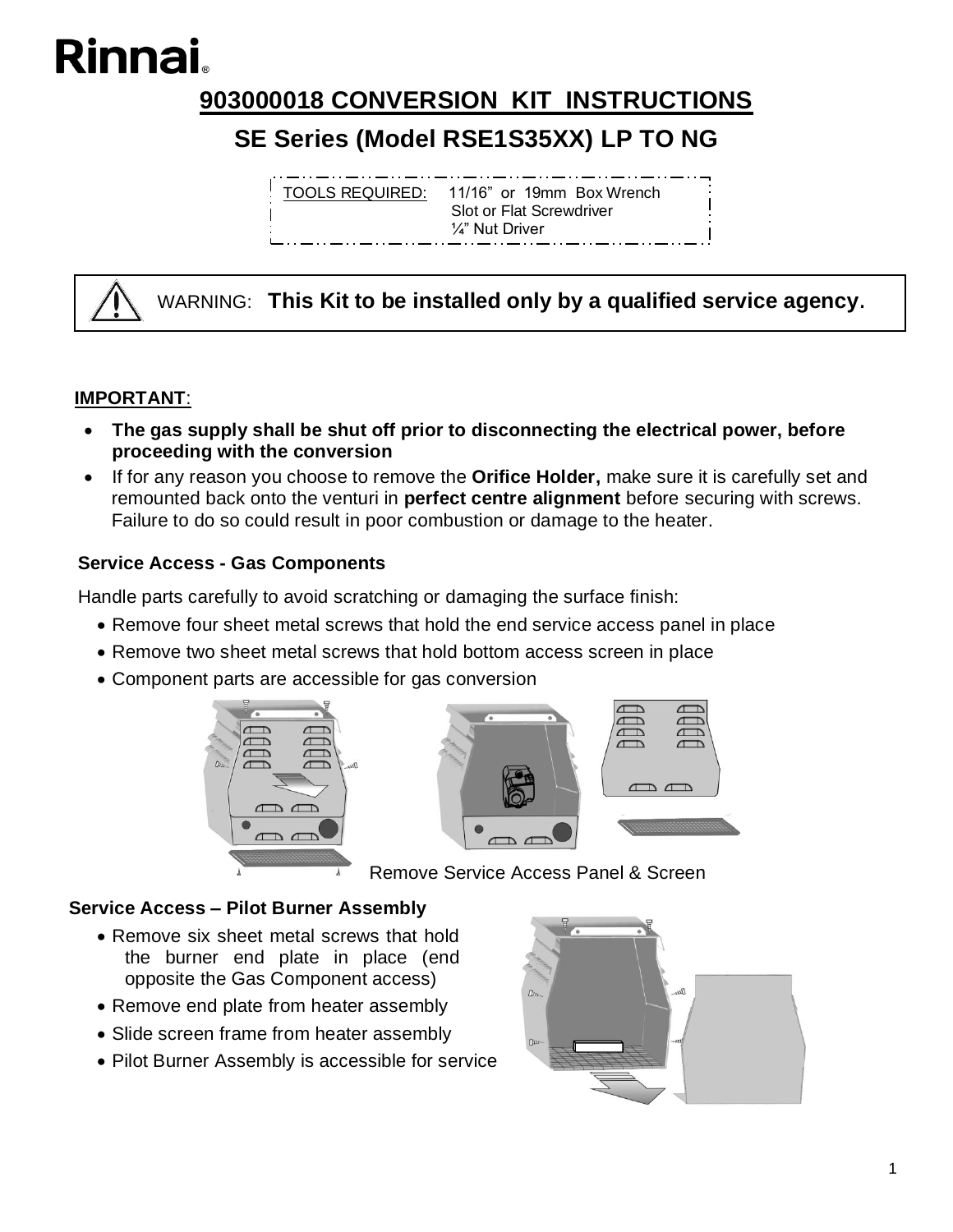# Rinnai

## **903000018 CONVERSION KIT INSTRUCTIONS**

## **SE Series (Model RSE1S35XX) LP TO NG**

TOOLS REQUIRED: 11/16" or 19mm Box Wrench Slot or Flat Screwdriver ¼" Nut Driver

WARNING: **This Kit to be installed only by a qualified service agency.**

#### **IMPORTANT**:

- **The gas supply shall be shut off prior to disconnecting the electrical power, before proceeding with the conversion**
- If for any reason you choose to remove the **Orifice Holder,** make sure it is carefully set and remounted back onto the venturi in **perfect centre alignment** before securing with screws. Failure to do so could result in poor combustion or damage to the heater.

#### **Service Access - Gas Components**

Handle parts carefully to avoid scratching or damaging the surface finish:

- Remove four sheet metal screws that hold the end service access panel in place
- Remove two sheet metal screws that hold bottom access screen in place
- Component parts are accessible for gas conversion





Remove Service Access Panel & Screen

#### **Service Access – Pilot Burner Assembly**

- Remove six sheet metal screws that hold the burner end plate in place (end opposite the Gas Component access)
- Remove end plate from heater assembly
- Slide screen frame from heater assembly
- Pilot Burner Assembly is accessible for service

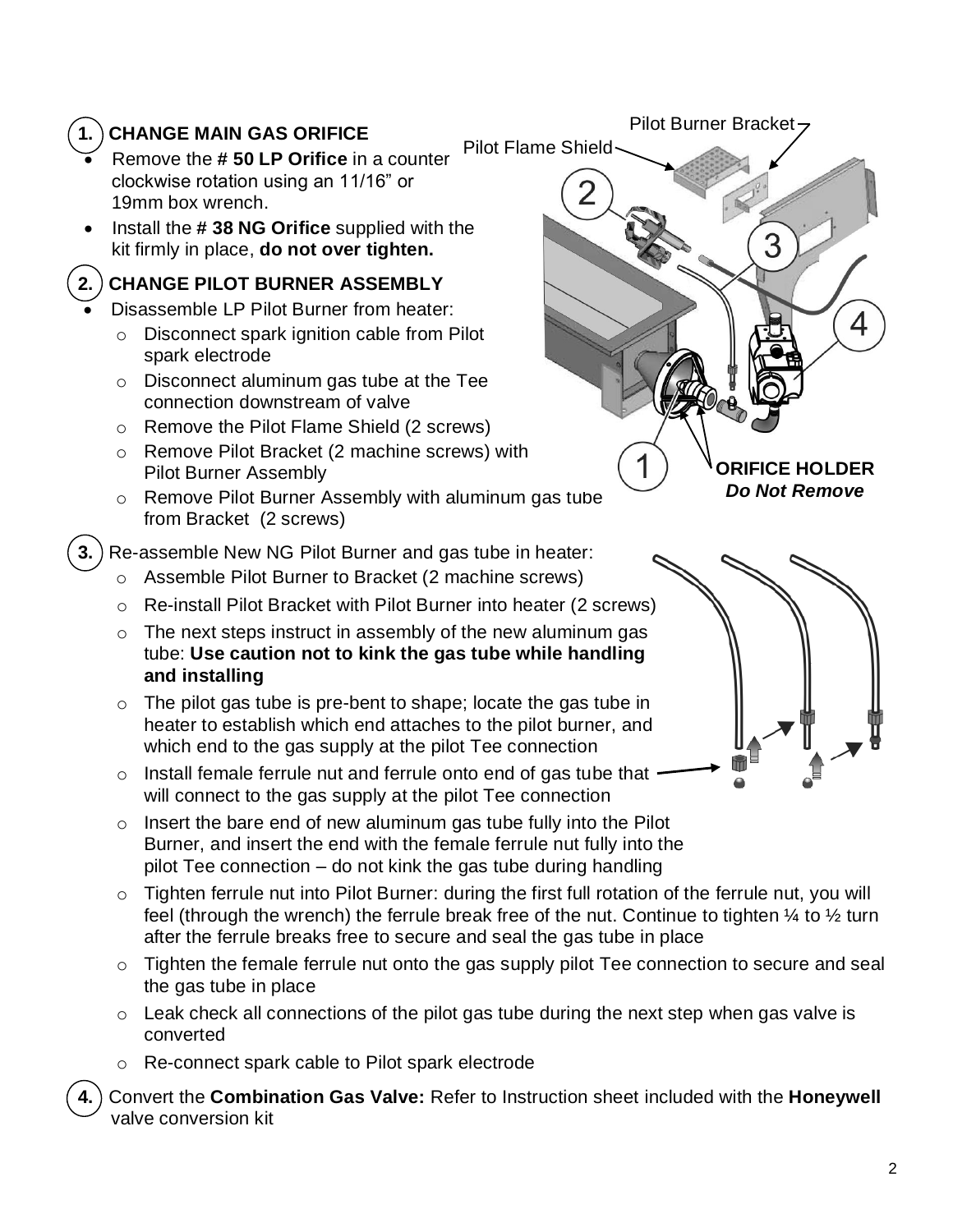## **1. CHANGE MAIN GAS ORIFICE**

- Remove the **# 50 LP Orifice** in a counter clockwise rotation using an 11/16" or 19mm box wrench.
- Install the **# 38 NG Orifice** supplied with the kit firmly in place, **do not over tighten.**

### **2. CHANGE PILOT BURNER ASSEMBLY**

- Disassemble LP Pilot Burner from heater:
	- o Disconnect spark ignition cable from Pilot spark electrode
	- o Disconnect aluminum gas tube at the Tee connection downstream of valve
	- o Remove the Pilot Flame Shield (2 screws)
	- o Remove Pilot Bracket (2 machine screws) with Pilot Burner Assembly
	- o Remove Pilot Burner Assembly with aluminum gas tube from Bracket (2 screws)
- **3.** Re-assemble New NG Pilot Burner and gas tube in heater:
	- o Assemble Pilot Burner to Bracket (2 machine screws)
	- o Re-install Pilot Bracket with Pilot Burner into heater (2 screws)
	- $\circ$  The next steps instruct in assembly of the new aluminum gas tube: **Use caution not to kink the gas tube while handling and installing**
	- $\circ$  The pilot gas tube is pre-bent to shape; locate the gas tube in heater to establish which end attaches to the pilot burner, and which end to the gas supply at the pilot Tee connection
	- o Install female ferrule nut and ferrule onto end of gas tube that will connect to the gas supply at the pilot Tee connection
	- $\circ$  Insert the bare end of new aluminum gas tube fully into the Pilot Burner, and insert the end with the female ferrule nut fully into the pilot Tee connection – do not kink the gas tube during handling
	- o Tighten ferrule nut into Pilot Burner: during the first full rotation of the ferrule nut, you will feel (through the wrench) the ferrule break free of the nut. Continue to tighten  $\frac{1}{4}$  to  $\frac{1}{2}$  turn after the ferrule breaks free to secure and seal the gas tube in place
	- o Tighten the female ferrule nut onto the gas supply pilot Tee connection to secure and seal the gas tube in place
	- o Leak check all connections of the pilot gas tube during the next step when gas valve is converted
	- o Re-connect spark cable to Pilot spark electrode
	- **4.** Convert the **Combination Gas Valve:** Refer to Instruction sheet included with the **Honeywell**  valve conversion kit



Pilot Burner Bracket